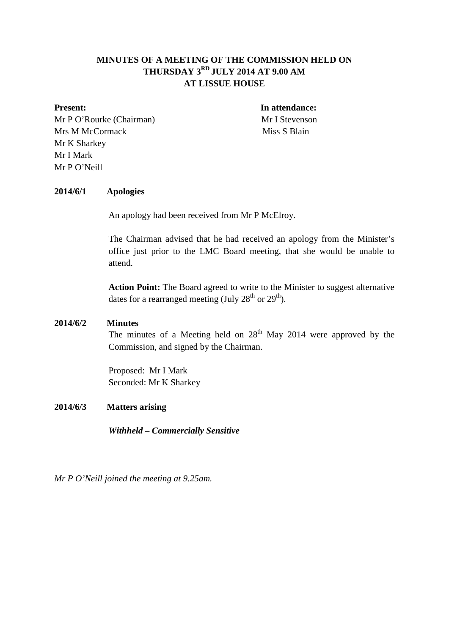# **MINUTES OF A MEETING OF THE COMMISSION HELD ON THURSDAY 3RD JULY 2014 AT 9.00 AM AT LISSUE HOUSE**

Mr P O'Rourke (Chairman) Mr I Stevenson Mrs M McCormack Miss S Blain Mr K Sharkey Mr I Mark Mr P O'Neill

**Present:** In attendance:

#### **2014/6/1 Apologies**

An apology had been received from Mr P McElroy.

The Chairman advised that he had received an apology from the Minister's office just prior to the LMC Board meeting, that she would be unable to attend.

**Action Point:** The Board agreed to write to the Minister to suggest alternative dates for a rearranged meeting (July  $28<sup>th</sup>$  or  $29<sup>th</sup>$ ).

#### **2014/6/2 Minutes**

The minutes of a Meeting held on  $28<sup>th</sup>$  May 2014 were approved by the Commission, and signed by the Chairman.

Proposed: Mr I Mark Seconded: Mr K Sharkey

#### **2014/6/3 Matters arising**

*Withheld – Commercially Sensitive*

*Mr P O'Neill joined the meeting at 9.25am.*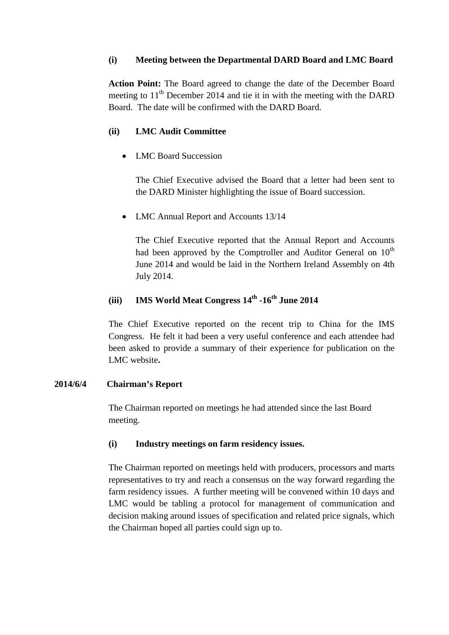# **(i) Meeting between the Departmental DARD Board and LMC Board**

**Action Point:** The Board agreed to change the date of the December Board meeting to  $11<sup>th</sup>$  December 2014 and tie it in with the meeting with the DARD Board. The date will be confirmed with the DARD Board.

# **(ii) LMC Audit Committee**

• LMC Board Succession

The Chief Executive advised the Board that a letter had been sent to the DARD Minister highlighting the issue of Board succession.

• LMC Annual Report and Accounts 13/14

The Chief Executive reported that the Annual Report and Accounts had been approved by the Comptroller and Auditor General on  $10<sup>th</sup>$ June 2014 and would be laid in the Northern Ireland Assembly on 4th July 2014.

# **(iii) IMS World Meat Congress 14th -16th June 2014**

The Chief Executive reported on the recent trip to China for the IMS Congress. He felt it had been a very useful conference and each attendee had been asked to provide a summary of their experience for publication on the LMC website**.**

# **2014/6/4 Chairman's Report**

The Chairman reported on meetings he had attended since the last Board meeting.

# **(i) Industry meetings on farm residency issues.**

The Chairman reported on meetings held with producers, processors and marts representatives to try and reach a consensus on the way forward regarding the farm residency issues. A further meeting will be convened within 10 days and LMC would be tabling a protocol for management of communication and decision making around issues of specification and related price signals, which the Chairman hoped all parties could sign up to.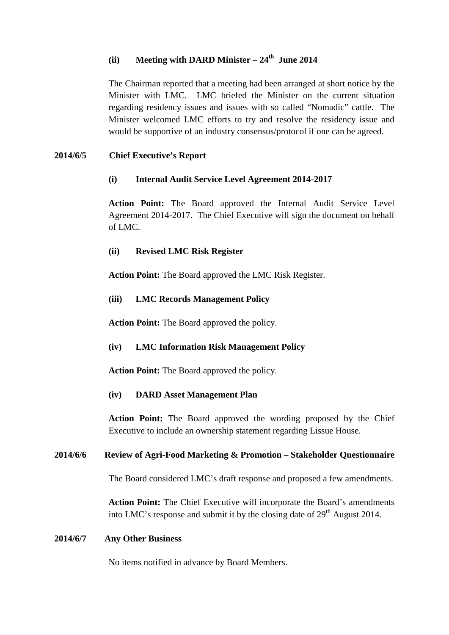# $(iii)$  **Meeting with DARD Minister** –  $24<sup>th</sup>$  **June 2014**

The Chairman reported that a meeting had been arranged at short notice by the Minister with LMC. LMC briefed the Minister on the current situation regarding residency issues and issues with so called "Nomadic" cattle. The Minister welcomed LMC efforts to try and resolve the residency issue and would be supportive of an industry consensus/protocol if one can be agreed.

# **2014/6/5 Chief Executive's Report**

# **(i) Internal Audit Service Level Agreement 2014-2017**

**Action Point:** The Board approved the Internal Audit Service Level Agreement 2014-2017. The Chief Executive will sign the document on behalf of LMC.

# **(ii) Revised LMC Risk Register**

**Action Point:** The Board approved the LMC Risk Register.

#### **(iii) LMC Records Management Policy**

**Action Point:** The Board approved the policy.

#### **(iv) LMC Information Risk Management Policy**

**Action Point:** The Board approved the policy.

#### **(iv) DARD Asset Management Plan**

**Action Point:** The Board approved the wording proposed by the Chief Executive to include an ownership statement regarding Lissue House.

#### **2014/6/6 Review of Agri-Food Marketing & Promotion – Stakeholder Questionnaire**

The Board considered LMC's draft response and proposed a few amendments.

**Action Point:** The Chief Executive will incorporate the Board's amendments into LMC's response and submit it by the closing date of  $29<sup>th</sup>$  August 2014.

#### **2014/6/7 Any Other Business**

No items notified in advance by Board Members.